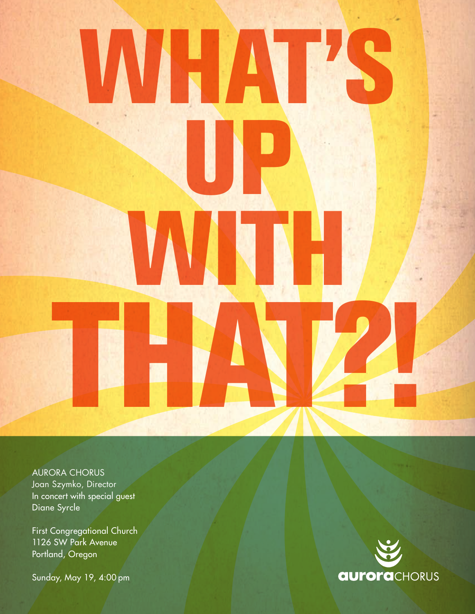# WHAT'S UP WITH THAT?

AURORA CHORUS Joan Szymko, Director In concert with special guest Diane Syrcle

First Congregational Church 1126 SW Park Avenue Portland, Oregon

Sunday, May 19, 4:00 pm

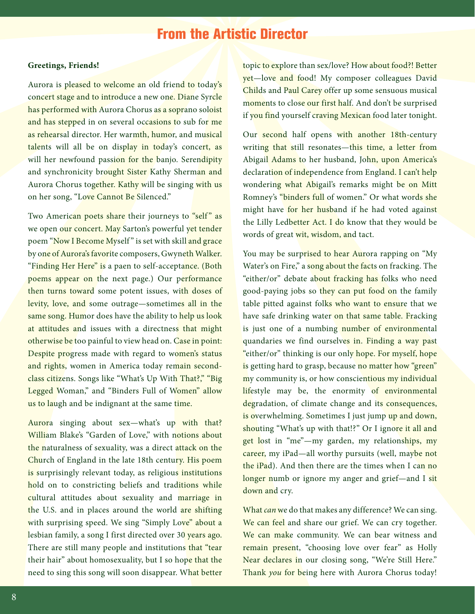## From the Artistic Director

### **Greetings, Friends!**

Aurora is pleased to welcome an old friend to today's concert stage and to introduce a new one. Diane Syrcle has performed with Aurora Chorus as a soprano soloist and has stepped in on several occasions to sub for me as rehearsal director. Her warmth, humor, and musical talents will all be on display in today's concert, as will her newfound passion for the banjo. Serendipity and synchronicity brought Sister Kathy Sherman and Aurora Chorus together. Kathy will be singing with us on her song, "Love Cannot Be Silenced."

Two American poets share their journeys to "self" as we open our concert. May Sarton's powerful yet tender poem "Now I Become Myself" is set with skill and grace by one of Aurora's favorite composers, Gwyneth Walker. "Finding Her Here" is a paen to self-acceptance. (Both poems appear on the next page.) Our performance then turns toward some potent issues, with doses of levity, love, and some outrage—sometimes all in the same song. Humor does have the ability to help us look at attitudes and issues with a directness that might otherwise be too painful to view head on. Case in point: Despite progress made with regard to women's status and rights, women in America today remain secondclass citizens. Songs like "What's Up With That?," "Big Legged Woman," and "Binders Full of Women" allow us to laugh and be indignant at the same time.

Aurora singing about sex—what's up with that? William Blake's "Garden of Love," with notions about the naturalness of sexuality, was a direct attack on the Church of England in the late 18th century. His poem is surprisingly relevant today, as religious institutions hold on to constricting beliefs and traditions while cultural attitudes about sexuality and marriage in the U.S. and in places around the world are shifting with surprising speed. We sing "Simply Love" about a lesbian family, a song I first directed over 30 years ago. There are still many people and institutions that "tear their hair" about homosexuality, but I so hope that the need to sing this song will soon disappear. What better topic to explore than sex/love? How about food?! Better yet-love and food! My composer colleagues David Childs and Paul Carey offer up some sensuous musical moments to close our first half. And don't be surprised if you find yourself craving Mexican food later tonight.

Our second half opens with another 18th-century writing that still resonates—this time, a letter from Abigail Adams to her husband, John, upon America's declaration of independence from England. I can't help wondering what Abigail's remarks might be on Mitt Romney's "binders full of women." Or what words she might have for her husband if he had voted against the Lilly Ledbetter Act. I do know that they would be words of great wit, wisdom, and tact.

You may be surprised to hear Aurora rapping on "My Water's on Fire," a song about the facts on fracking. The "either/or" debate about fracking has folks who need good-paying jobs so they can put food on the family table pitted against folks who want to ensure that we have safe drinking water on that same table. Fracking is just one of a numbing number of environmental quandaries we find ourselves in. Finding a way past "either/or" thinking is our only hope. For myself, hope is getting hard to grasp, because no matter how "green" my community is, or how conscientious my individual lifestyle may be, the enormity of environmental degradation, of climate change and its consequences, is overwhelming. Sometimes I just jump up and down, shouting "What's up with that!?" Or I ignore it all and get lost in "me"—my garden, my relationships, my career, my iPad—all worthy pursuits (well, maybe not the iPad). And then there are the times when I can no longer numb or ignore my anger and grief—and I sit down and cry.

What *can* we do that makes any difference? We can sing. We can feel and share our grief. We can cry together. We can make community. We can bear witness and remain present, "choosing love over fear" as Holly Near declares in our closing song, "We're Still Here." Thank *you* for being here with Aurora Chorus today!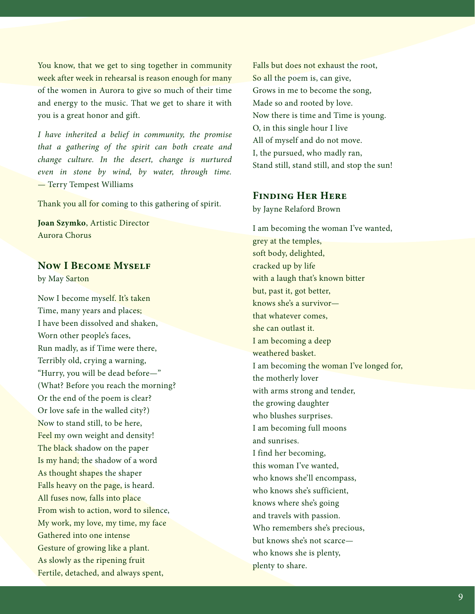You know, that we get to sing together in community week after week in rehearsal is reason enough for many of the women in Aurora to give so much of their time and energy to the music. That we get to share it with you is a great honor and gift.

*I have inherited a belief in community, the promise that a gathering of the spirit can both create and change culture. In the desert, change is nurtured even in stone by wind, by water, through time.*  — Terry Tempest Williams

Thank you all for coming to this gathering of spirit.

**Joan Szymko**, Artistic Director Aurora Chorus

### **Now I Become Myself**

by May Sarton

Now I become myself. It's taken Time, many years and places; I have been dissolved and shaken, Worn other people's faces, Run madly, as if Time were there, Terribly old, crying a warning, "Hurry, you will be dead before—" (What? Before you reach the morning? Or the end of the poem is clear? Or love safe in the walled city?) Now to stand still, to be here, Feel my own weight and density! The black shadow on the paper Is my hand; the shadow of a word As thought shapes the shaper Falls heavy on the page, is heard. All fuses now, falls into place From wish to action, word to silence, My work, my love, my time, my face Gathered into one intense Gesture of growing like a plant. As slowly as the ripening fruit Fertile, detached, and always spent,

Falls but does not exhaust the root, So all the poem is, can give, Grows in me to become the song, Made so and rooted by love. Now there is time and Time is young. O, in this single hour I live All of myself and do not move. I, the pursued, who madly ran, Stand still, stand still, and stop the sun!

### **Finding Her Here**

by Jayne Relaford Brown

I am becoming the woman I've wanted, grey at the temples, soft body, delighted, cracked up by life with a laugh that's known bitter but, past it, got better, knows she's a survivor that whatever comes, she can outlast it. I am becoming a deep weathered basket. I am becoming the woman I've longed for, the motherly lover with arms strong and tender, the growing daughter who blushes surprises. I am becoming full moons and sunrises. I find her becoming, this woman I've wanted, who knows she'll encompass, who knows she's sufficient, knows where she's going and travels with passion. Who remembers she's precious, but knows she's not scarce who knows she is plenty, plenty to share.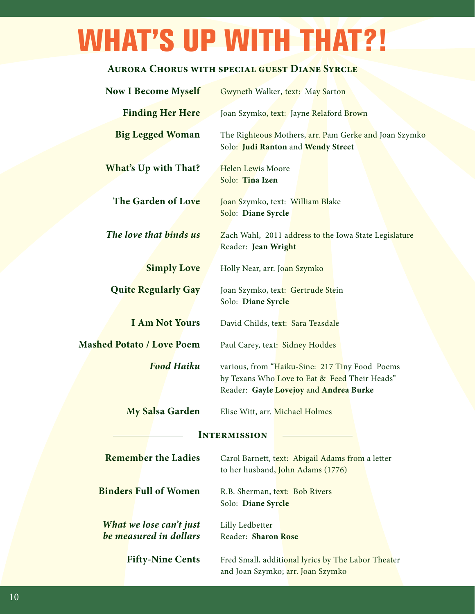# WHAT'S UP WITH THAT?!

| <b>AURORA CHORUS WITH SPECIAL GUEST DIANE SYRCLE</b> |                                                                                                                                           |
|------------------------------------------------------|-------------------------------------------------------------------------------------------------------------------------------------------|
| <b>Now I Become Myself</b>                           | Gwyneth Walker, text: May Sarton                                                                                                          |
| <b>Finding Her Here</b>                              | Joan Szymko, text: Jayne Relaford Brown                                                                                                   |
| <b>Big Legged Woman</b>                              | The Righteous Mothers, arr. Pam Gerke and Joan Szymko<br>Solo: Judi Ranton and Wendy Street                                               |
| <b>What's Up with That?</b>                          | <b>Helen Lewis Moore</b><br>Solo: Tina Izen                                                                                               |
| The Garden of Love                                   | Joan Szymko, text: William Blake<br>Solo: Diane Syrcle                                                                                    |
| The love that binds us                               | Zach Wahl, 2011 address to the Iowa State Legislature<br>Reader: Jean Wright                                                              |
| <b>Simply Love</b>                                   | Holly Near, arr. Joan Szymko                                                                                                              |
| <b>Quite Regularly Gay</b>                           | Joan Szymko, text: Gertrude Stein<br>Solo: Diane Syrcle                                                                                   |
| <b>I Am Not Yours</b>                                | David Childs, text: Sara Teasdale                                                                                                         |
| <b>Mashed Potato / Love Poem</b>                     | Paul Carey, text: Sidney Hoddes                                                                                                           |
| <b>Food Haiku</b>                                    | various, from "Haiku-Sine: 217 Tiny Food Poems<br>by Texans Who Love to Eat & Feed Their Heads"<br>Reader: Gayle Lovejoy and Andrea Burke |
| My Salsa Garden                                      | Elise Witt, arr. Michael Holmes                                                                                                           |
| <b>INTERMISSION</b>                                  |                                                                                                                                           |
| <b>Remember the Ladies</b>                           | Carol Barnett, text: Abigail Adams from a letter<br>to her husband, John Adams (1776)                                                     |
| <b>Binders Full of Women</b>                         | R.B. Sherman, text: Bob Rivers<br>Solo: Diane Syrcle                                                                                      |
| What we lose can't just<br>be measured in dollars    | Lilly Ledbetter<br>Reader: Sharon Rose                                                                                                    |
| <b>Fifty-Nine Cents</b>                              | Fred Small, additional lyrics by The Labor Theater<br>and Joan Szymko; arr. Joan Szymko                                                   |